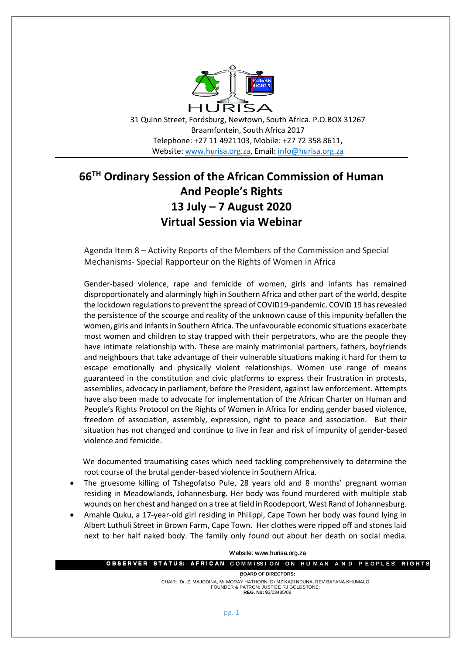

31 Quinn Street, Fordsburg, Newtown, South Africa. P.O.BOX 31267 Braamfontein, South Africa 2017 Telephone: +27 11 4921103, Mobile: +27 72 358 8611, Website: [www.hurisa.org.za,](http://www.hurisa.org.za/) Email: [info@hurisa.org.za](mailto:info@hurisa.org.za)

## **66TH Ordinary Session of the African Commission of Human And People's Rights 13 July – 7 August 2020 Virtual Session via Webinar**

Agenda Item 8 – Activity Reports of the Members of the Commission and Special Mechanisms- Special Rapporteur on the Rights of Women in Africa

Gender-based violence, rape and femicide of women, girls and infants has remained disproportionately and alarmingly high in Southern Africa and other part of the world, despite the lockdown regulations to prevent the spread of COVID19-pandemic. COVID 19 has revealed the persistence of the scourge and reality of the unknown cause of this impunity befallen the women, girls and infants in Southern Africa. The unfavourable economic situations exacerbate most women and children to stay trapped with their perpetrators, who are the people they have intimate relationship with. These are mainly matrimonial partners, fathers, boyfriends and neighbours that take advantage of their vulnerable situations making it hard for them to escape emotionally and physically violent relationships. Women use range of means guaranteed in the constitution and civic platforms to express their frustration in protests, assemblies, advocacy in parliament, before the President, against law enforcement. Attempts have also been made to advocate for implementation of the African Charter on Human and People's Rights Protocol on the Rights of Women in Africa for ending gender based violence, freedom of association, assembly, expression, right to peace and association. But their situation has not changed and continue to live in fear and risk of impunity of gender-based violence and femicide.

 We documented traumatising cases which need tackling comprehensively to determine the root course of the brutal gender-based violence in Southern Africa.

- The gruesome killing of Tshegofatso Pule, 28 years old and 8 months' pregnant woman residing in Meadowlands, Johannesburg. Her body was found murdered with multiple stab wounds on her chest and hanged on a tree at field in Roodepoort, West Rand of Johannesburg.
- Amahle Quku, a 17-year-old girl residing in Philippi, Cape Town her body was found lying in Albert Luthuli Street in Brown Farm, Cape Town. Her clothes were ripped off and stones laid next to her half naked body. The family only found out about her death on social media.

| Website: www.hurisa.org.za |  |  |                                                                                                                           |  |  |  |  |  |  |
|----------------------------|--|--|---------------------------------------------------------------------------------------------------------------------------|--|--|--|--|--|--|
|                            |  |  | <b>OBSERVER STATUS: AFRICAN COMMISSION ON HUMAN AND PEOPLES RIGHTS</b>                                                    |  |  |  |  |  |  |
| <b>BOARD OF DIRECTORS:</b> |  |  |                                                                                                                           |  |  |  |  |  |  |
|                            |  |  | CHAIR: Dr. Z. MAJODINA, Mr MORAY HATHORN; Dr MZIKAZI NDUNA, REV BAFANA KHUMALO<br>FOUNDER & PATRON: JUSTICE RJ GOLDSTONE: |  |  |  |  |  |  |
|                            |  |  | <b>REG. No: 93/03485/08</b>                                                                                               |  |  |  |  |  |  |

pg. 1